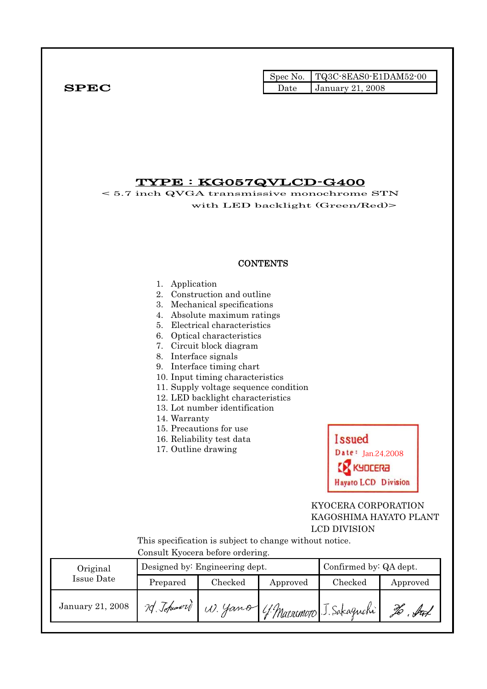$SPEC$ 

|      | Spec No. TQ3C-8EAS0-E1DAM52-00 |
|------|--------------------------------|
| Date | <b>January 21, 2008</b>        |

## TYPE : KG057QVLCD-G400

< 5.7 inch QVGA transmissive monochrome STN with LED backlight (Green/Red)>

### **CONTENTS**

|                         | Application<br>1.<br>2.<br>3.<br>4.<br>5.<br>6.<br>7.<br>8. Interface signals<br>14. Warranty<br>17. Outline drawing                                          | Construction and outline<br>Mechanical specifications<br>Absolute maximum ratings<br>Electrical characteristics<br>Optical characteristics<br>Circuit block diagram<br>9. Interface timing chart<br>10. Input timing characteristics<br>11. Supply voltage sequence condition<br>12. LED backlight characteristics<br>13. Lot number identification<br>15. Precautions for use<br>16. Reliability test data | <b>Issued</b><br>te: $Jan.24,2008$<br><b>SA3JOR</b> |                        |          |  |
|-------------------------|---------------------------------------------------------------------------------------------------------------------------------------------------------------|-------------------------------------------------------------------------------------------------------------------------------------------------------------------------------------------------------------------------------------------------------------------------------------------------------------------------------------------------------------------------------------------------------------|-----------------------------------------------------|------------------------|----------|--|
|                         | <b>Hayato LCD Division</b><br>KYOCERA CORPORATION<br>KAGOSHIMA HAYATO PLANT<br><b>LCD DIVISION</b><br>This specification is subject to change without notice. |                                                                                                                                                                                                                                                                                                                                                                                                             |                                                     |                        |          |  |
| Original                | Consult Kyocera before ordering.                                                                                                                              | Designed by: Engineering dept.                                                                                                                                                                                                                                                                                                                                                                              |                                                     | Confirmed by: QA dept. |          |  |
| <b>Issue Date</b>       | Prepared                                                                                                                                                      | Checked                                                                                                                                                                                                                                                                                                                                                                                                     | Approved                                            | Checked                | Approved |  |
| <b>January 21, 2008</b> | 70 Johnword                                                                                                                                                   |                                                                                                                                                                                                                                                                                                                                                                                                             | W. Yamo (f. Matrimoto J. Sakaguchi)                 |                        | to but   |  |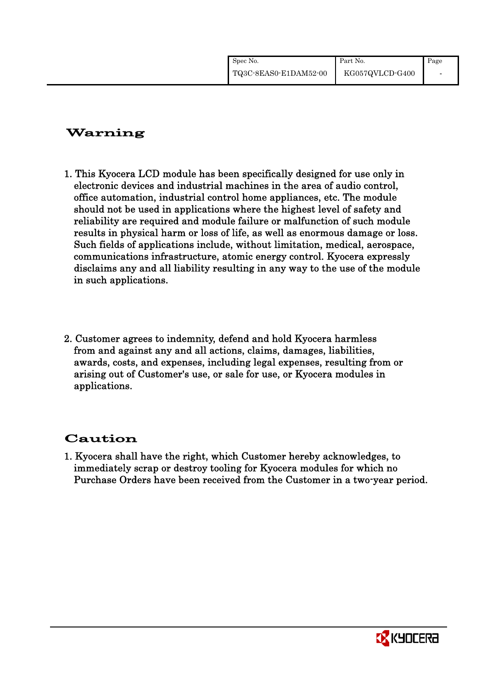| Spec No.              | Part No.        | Page |
|-----------------------|-----------------|------|
| TQ3C-8EAS0-E1DAM52-00 | KG057QVLCD-G400 |      |

# Warning

- 1. This Kyocera LCD module has been specifically designed for use only in electronic devices and industrial machines in the area of audio control, office automation, industrial control home appliances, etc. The module should not be used in applications where the highest level of safety and reliability are required and module failure or malfunction of such module results in physical harm or loss of life, as well as enormous damage or loss. Such fields of applications include, without limitation, medical, aerospace, communications infrastructure, atomic energy control. Kyocera expressly disclaims any and all liability resulting in any way to the use of the module in such applications.
- 2. Customer agrees to indemnity, defend and hold Kyocera harmless from and against any and all actions, claims, damages, liabilities, awards, costs, and expenses, including legal expenses, resulting from or arising out of Customer's use, or sale for use, or Kyocera modules in applications.

# Caution

1. Kyocera shall have the right, which Customer hereby acknowledges, to immediately scrap or destroy tooling for Kyocera modules for which no Purchase Orders have been received from the Customer in a two-year period.

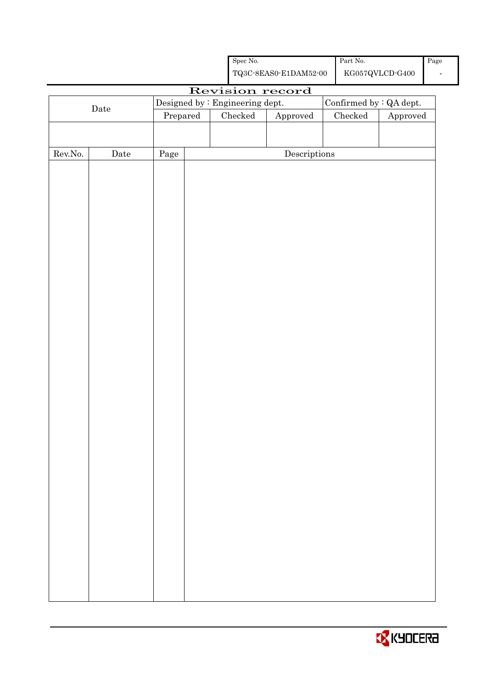|         |             |                                             | ${\rm Spec}$ No. |                                                    |  | Part No.                                 |                                             | $\rm Page$ |
|---------|-------------|---------------------------------------------|------------------|----------------------------------------------------|--|------------------------------------------|---------------------------------------------|------------|
|         |             |                                             |                  | ${\bf TQ3C\text{-}SEAS0\text{-}E1DAM52\text{-}00}$ |  |                                          | ${\rm KG057} {\rm QVLCD}\mbox{-}{\rm G400}$ |            |
|         |             |                                             |                  | Revision record                                    |  |                                          |                                             |            |
|         | $\rm{Date}$ | Designed by : Engineering dept.<br>Prepared | $\rm Checked$    |                                                    |  | Confirmed by : QA dept.<br>$\rm Checked$ |                                             |            |
|         |             |                                             |                  | Approved                                           |  |                                          | Approved                                    |            |
|         |             |                                             |                  |                                                    |  |                                          |                                             |            |
| Rev.No. | Date        | Page                                        |                  | $\label{eq:2} \textbf{Descriptions}$               |  |                                          |                                             |            |
|         |             |                                             |                  |                                                    |  |                                          |                                             |            |
|         |             |                                             |                  |                                                    |  |                                          |                                             |            |
|         |             |                                             |                  |                                                    |  |                                          |                                             |            |
|         |             |                                             |                  |                                                    |  |                                          |                                             |            |
|         |             |                                             |                  |                                                    |  |                                          |                                             |            |
|         |             |                                             |                  |                                                    |  |                                          |                                             |            |
|         |             |                                             |                  |                                                    |  |                                          |                                             |            |
|         |             |                                             |                  |                                                    |  |                                          |                                             |            |
|         |             |                                             |                  |                                                    |  |                                          |                                             |            |
|         |             |                                             |                  |                                                    |  |                                          |                                             |            |
|         |             |                                             |                  |                                                    |  |                                          |                                             |            |
|         |             |                                             |                  |                                                    |  |                                          |                                             |            |
|         |             |                                             |                  |                                                    |  |                                          |                                             |            |
|         |             |                                             |                  |                                                    |  |                                          |                                             |            |
|         |             |                                             |                  |                                                    |  |                                          |                                             |            |
|         |             |                                             |                  |                                                    |  |                                          |                                             |            |
|         |             |                                             |                  |                                                    |  |                                          |                                             |            |
|         |             |                                             |                  |                                                    |  |                                          |                                             |            |
|         |             |                                             |                  |                                                    |  |                                          |                                             |            |
|         |             |                                             |                  |                                                    |  |                                          |                                             |            |
|         |             |                                             |                  |                                                    |  |                                          |                                             |            |
|         |             |                                             |                  |                                                    |  |                                          |                                             |            |
|         |             |                                             |                  |                                                    |  |                                          |                                             |            |
|         |             |                                             |                  |                                                    |  |                                          |                                             |            |
|         |             |                                             |                  |                                                    |  |                                          |                                             |            |
|         |             |                                             |                  |                                                    |  |                                          |                                             |            |
|         |             |                                             |                  |                                                    |  |                                          |                                             |            |
|         |             |                                             |                  |                                                    |  |                                          |                                             |            |
|         |             |                                             |                  |                                                    |  |                                          |                                             |            |
|         |             |                                             |                  |                                                    |  |                                          |                                             |            |
|         |             |                                             |                  |                                                    |  |                                          |                                             |            |
|         |             |                                             |                  |                                                    |  |                                          |                                             |            |

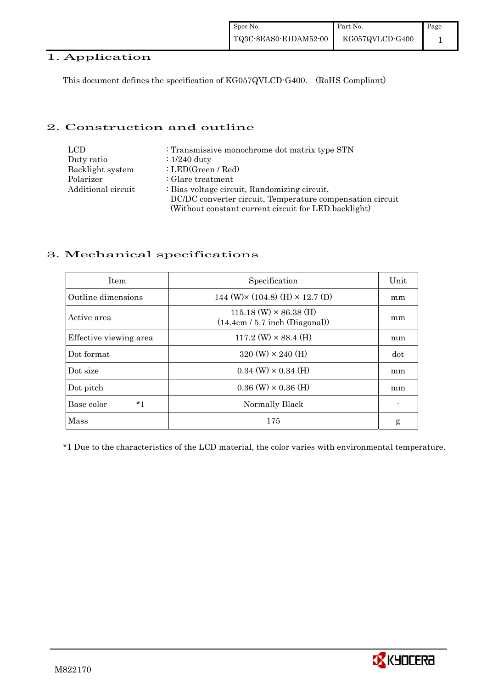## 1. Application

This document defines the specification of KG057QVLCD-G400. (RoHS Compliant)

### 2. Construction and outline

| <b>LCD</b>         | : Transmissive monochrome dot matrix type STN             |
|--------------------|-----------------------------------------------------------|
| Duty ratio         | $\div 1/240$ duty                                         |
| Backlight system   | : LED(Green / Red)                                        |
| Polarizer          | $\therefore$ Glare treatment                              |
| Additional circuit | : Bias voltage circuit, Randomizing circuit,              |
|                    | DC/DC converter circuit, Temperature compensation circuit |
|                    | (Without constant current circuit for LED backlight)      |

### 3. Mechanical specifications

| <b>Item</b>            | Specification                                                     | Unit |
|------------------------|-------------------------------------------------------------------|------|
| Outline dimensions     | 144 (W) $\times$ (104.8) (H) $\times$ 12.7 (D)                    | mm   |
| Active area            | $115.18$ (W) $\times$ 86.38 (H)<br>(14.4cm / 5.7 inch (Diagonal)) | mm   |
| Effective viewing area | $117.2$ (W) $\times$ 88.4 (H)                                     | mm   |
| Dot format             | $320 \text{ (W)} \times 240 \text{ (H)}$                          | dot  |
| Dot size               | $0.34$ (W) $\times$ 0.34 (H)                                      | mm   |
| Dot pitch              | $0.36$ (W) $\times$ 0.36 (H)                                      | mm   |
| Base color<br>*1       | Normally Black                                                    |      |
| Mass                   | 175                                                               | g    |

\*1 Due to the characteristics of the LCD material, the color varies with environmental temperature.

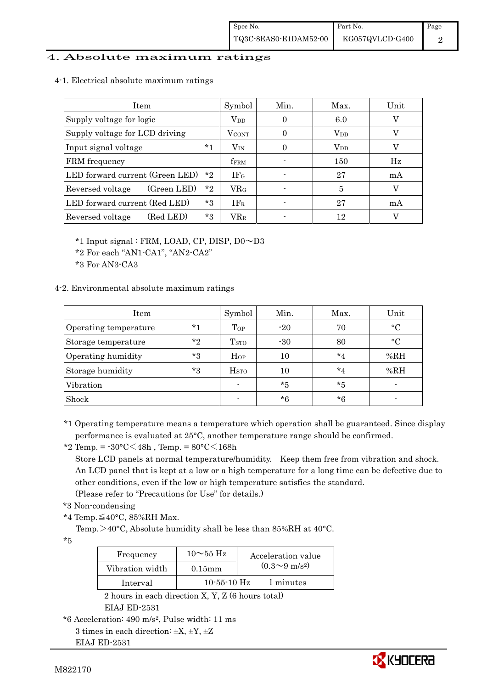### 4. Absolute maximum ratings

4-1. Electrical absolute maximum ratings

| <b>Item</b>                                | Symbol             | Min.   | Max.         | Unit |
|--------------------------------------------|--------------------|--------|--------------|------|
| Supply voltage for logic                   | $\rm V_{DD}$       | $_{0}$ | 6.0          |      |
| Supply voltage for LCD driving             | $\rm V_{\rm CONT}$ | 0      | $\rm V_{DD}$ |      |
| *1<br>Input signal voltage                 | $\rm V_{\rm IN}$   | 0      | $\rm V_{DD}$ |      |
| FRM frequency                              | f <sub>FRM</sub>   |        | 150          | Hz   |
| LED forward current (Green LED)<br>$*_{2}$ | IF <sub>G</sub>    |        | 27           | mA   |
| *2<br>(Green LED)<br>Reversed voltage      | ${\rm VR_G}$       |        | 5            |      |
| LED forward current (Red LED)<br>*3        | IF <sub>R</sub>    |        | 27           | mA   |
| (Red LED)<br>$*3$<br>Reversed voltage      | $\rm{VR}_{\rm{R}}$ |        | 12           |      |

\*1 Input signal : FRM, LOAD, CP, DISP, D0~D3

\*2 For each "AN1-CA1", "AN2-CA2"

\*3 For AN3-CA3

#### 4-2. Environmental absolute maximum ratings

| Item                  |         | Symbol                  | Min.  | Max.    | Unit      |
|-----------------------|---------|-------------------------|-------|---------|-----------|
| Operating temperature | $*1$    | Top                     | $-20$ | 70      | $\circ$ C |
| Storage temperature   | $*_{2}$ | <b>T</b> <sub>STO</sub> | $-30$ | 80      | $\circ$ C |
| Operating humidity    | $*_{3}$ | Hop                     | 10    | $*_{4}$ | %RH       |
| Storage humidity      | $*3$    | H <sub>STO</sub>        | 10    | $*_{4}$ | %RH       |
| Vibration             |         |                         | $*5$  | $*5$    |           |
| Shock                 |         |                         | $*6$  | $*6$    |           |

\*1 Operating temperature means a temperature which operation shall be guaranteed. Since display performance is evaluated at 25°C, another temperature range should be confirmed.

\*2 Temp. =  $-30^{\circ}$ C $<$ 48h, Temp. =  $80^{\circ}$ C $<$ 168h

 Store LCD panels at normal temperature/humidity. Keep them free from vibration and shock. An LCD panel that is kept at a low or a high temperature for a long time can be defective due to other conditions, even if the low or high temperature satisfies the standard.

(Please refer to "Precautions for Use" for details.)

- \*3 Non-condensing
- \*4 Temp.≦40°C, 85%RH Max.

Temp. $>40^{\circ}$ C, Absolute humidity shall be less than 85%RH at 40°C.

 $*5$ 

| Frequency       | $10\sim$ 55 Hz    | Acceleration value           |
|-----------------|-------------------|------------------------------|
| Vibration width | $0.15$ m m        | $(0.3 \sim 9 \text{ m/s}^2)$ |
| Interval        | $10 - 55 - 10$ Hz | 1 minutes                    |

 2 hours in each direction X, Y, Z (6 hours total) EIAJ ED-2531

EIAJ ED-2531



<sup>\*6</sup> Acceleration: 490 m/s2, Pulse width: 11 ms

<sup>3</sup> times in each direction:  $\pm X$ ,  $\pm Y$ ,  $\pm Z$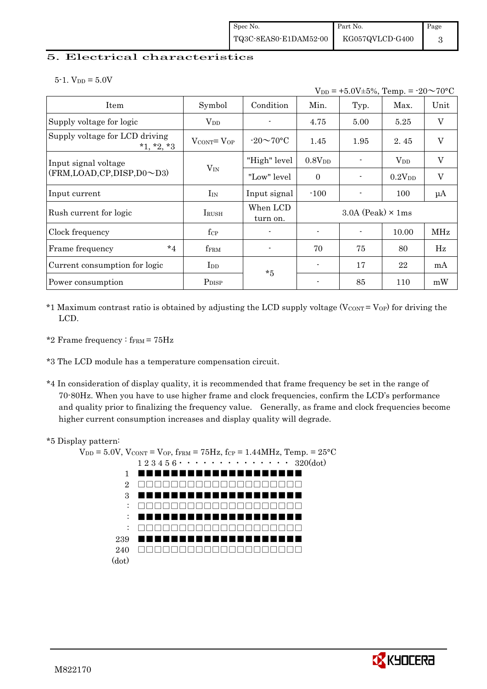### 5. Electrical characteristics

 $5-1.$  V<sub>DD</sub> =  $5.0V$ 

| $V_{DD}$ = +5.0V±5%, Temp. = -20 $\sim$ 70°C   |                                   |                      |                    |                            |                        |                           |
|------------------------------------------------|-----------------------------------|----------------------|--------------------|----------------------------|------------------------|---------------------------|
| Item                                           | Symbol                            | Condition            | Min.               | Typ.                       | Max.                   | Unit                      |
| Supply voltage for logic                       | $V_{DD}$                          |                      | 4.75               | 5.00                       | 5.25                   | $\mathbf V$               |
| Supply voltage for LCD driving<br>$*1, *2, *3$ | $V_{\text{CONT}} = V_{\text{OP}}$ | $-20\sim70$ °C       | 1.45               | 1.95                       | 2.45                   | $\mathbf V$               |
| Input signal voltage                           |                                   | "High" level         | 0.8V <sub>DD</sub> |                            | <b>V</b> <sub>DD</sub> | $\boldsymbol{\mathrm{V}}$ |
| (FRM, LOAD, CP, DISP, D0~D3)                   | $V_{IN}$                          | "Low" level"         | $\Omega$           |                            | 0.2V <sub>DD</sub>     | $\mathbf V$               |
| Input current                                  | $I_{IN}$                          | Input signal         | $-100$             |                            | 100                    | μA                        |
| Rush current for logic                         | <b>IRUSH</b>                      | When LCD<br>turn on. |                    | $3.0A$ (Peak) $\times$ 1ms |                        |                           |
| Clock frequency                                | $f_{\rm CP}$                      |                      |                    |                            | 10.00                  | MHz                       |
| $*_{4}$<br>Frame frequency                     | fFRM                              |                      | 70                 | 75                         | 80                     | Hz                        |
| Current consumption for logic                  | $_{\rm{LDD}}$                     | $*5$                 |                    | 17                         | 22                     | mA                        |
| Power consumption                              | P <sub>DISP</sub>                 |                      |                    | 85                         | 110                    | mW                        |

- \*1 Maximum contrast ratio is obtained by adjusting the LCD supply voltage ( $V_{\text{CONT}} = V_{\text{OP}}$ ) for driving the LCD.
- \*2 Frame frequency :  $f_{\text{FRM}} = 75 \text{Hz}$
- \*3 The LCD module has a temperature compensation circuit.
- \*4 In consideration of display quality, it is recommended that frame frequency be set in the range of 70-80Hz. When you have to use higher frame and clock frequencies, confirm the LCD's performance and quality prior to finalizing the frequency value. Generally, as frame and clock frequencies become higher current consumption increases and display quality will degrade.

#### \*5 Display pattern:

 $V_{DD} = 5.0V$ ,  $V_{CONT} = V_{OP}$ ,  $f_{FRM} = 75Hz$ ,  $f_{CP} = 1.44MHz$ ,  $Temp = 25°C$  $1\ 2\ 3\ 4\ 5\ 6\ \cdot\ \cdot\ \cdot\ \cdot\ \cdot\ \cdot\ \cdot\ \cdot\ \cdot\ \cdot\ \cdot\ 320(\mathrm{dot})$ 1 2 3 : : : 239 **■** 240 □□□□□□□□□□□□□□□□□□□□(dot) ■■■■■■■■■■■■■■■■■■■■ □□□□□□□□□□□□□□□□□□□□ ■■■■■■■■■■■■■■■■■■■■ □□□□□□□□□□□□□□□□□□□□ ■■■■■■■■■■■■■■■■■■■■ □□□□□□□□□□□□□□□□□□□□ ■■■■■■■■■■■■■■■■■■■■

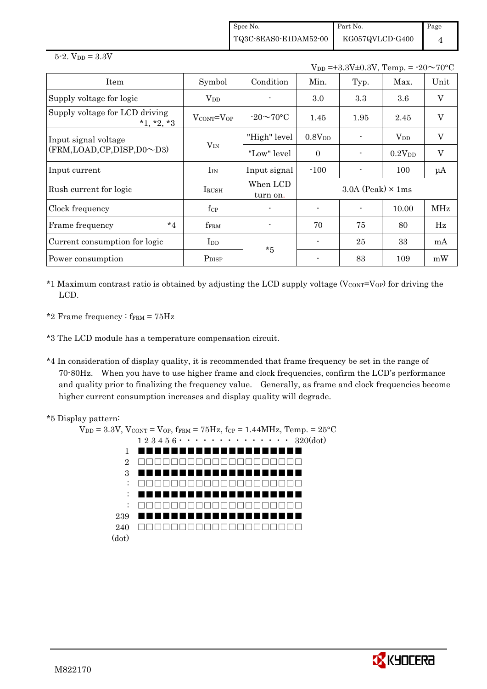Spec No. TQ3C-8EAS0-E1DAM52-00 Part No. KG057QVLCD-G400 Page 4

 $5 - 2.$  V<sub>DD</sub> =  $3.3V$ 

 $V_{DD} = +3.3V \pm 0.3V$ , Temp. =  $-20 \sim 70$ °C

| Item                                           | Symbol                      | Condition            | Min.                       | Typ. | Max.        | Unit         |
|------------------------------------------------|-----------------------------|----------------------|----------------------------|------|-------------|--------------|
| Supply voltage for logic                       | $V_{DD}$                    |                      | 3.0                        | 3.3  | $3.6\,$     | $\mathbf{V}$ |
| Supply voltage for LCD driving<br>$*1, *2, *3$ | $V_{\rm CONT} = V_{\rm OP}$ | $-20\sim70$ °C       | 1.45                       | 1.95 | 2.45        | V            |
| Input signal voltage                           |                             | "High" level         | $0.8V_{DD}$                |      | $V_{DD}$    | V            |
| $(FRM, LOAD, CP, DISP, D0 \sim D3)$            | $V_{IN}$                    | "Low" level          | $\Omega$                   |      | $0.2V_{DD}$ | V            |
| Input current                                  | $I_{IN}$                    | Input signal         | $-100$                     |      | 100         | $\mu A$      |
| Rush current for logic                         | IRUSH                       | When LCD<br>turn on. | $3.0A$ (Peak) $\times$ 1ms |      |             |              |
| Clock frequency                                | $f_{\rm CP}$                |                      |                            |      | 10.00       | MHz          |
| $*_{4}$<br>Frame frequency                     | fFRM                        |                      | 70                         | 75   | 80          | $_{\rm Hz}$  |
| Current consumption for logic                  | $_{\rm{LDD}}$               | $*5$                 |                            | 25   | 33          | mA           |
| Power consumption                              | P <sub>DISP</sub>           |                      |                            | 83   | 109         | mW           |

 $*1$  Maximum contrast ratio is obtained by adjusting the LCD supply voltage (V $_{\text{CONT}}$ =V<sub>OP</sub>) for driving the LCD.

\*2 Frame frequency :  $f_{\text{FRM}} = 75 \text{Hz}$ 

\*3 The LCD module has a temperature compensation circuit.

\*4 In consideration of display quality, it is recommended that frame frequency be set in the range of 70-80Hz. When you have to use higher frame and clock frequencies, confirm the LCD's performance and quality prior to finalizing the frequency value. Generally, as frame and clock frequencies become higher current consumption increases and display quality will degrade.



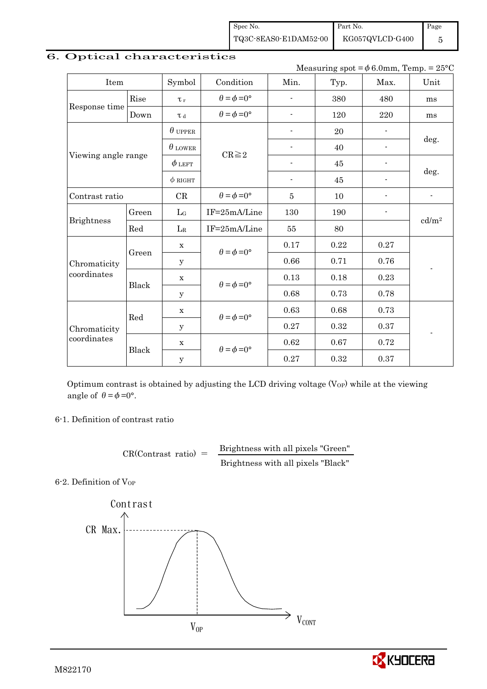Spec No. TQ3C-8EAS0-E1DAM52-00 Part No. KG057QVLCD-G400 Page

5

|                     |       |                |                             |                          | Measuring spot = $\phi$ 6.0mm, Temp. = 25°C |                          |                   |
|---------------------|-------|----------------|-----------------------------|--------------------------|---------------------------------------------|--------------------------|-------------------|
| Item                |       | Symbol         | Condition                   | Min.                     | Typ.                                        | Max.                     | Unit              |
|                     | Rise  | $\tau_r$       | $\theta = \phi = 0^{\circ}$ |                          | 380                                         | 480                      | ms                |
| Response time       | Down  | T d            | $\theta = \phi = 0^{\circ}$ | $\overline{\phantom{a}}$ | 120                                         | 220                      | ms                |
|                     |       | $\theta$ upper |                             | $\overline{\phantom{a}}$ | 20                                          |                          |                   |
|                     |       | $\theta$ lower | $CR \geq 2$                 | ٠                        | 40                                          |                          | deg.              |
| Viewing angle range |       | $\phi$ left    |                             |                          | 45                                          | $\overline{a}$           |                   |
|                     |       | $\phi$ RIGHT   |                             | $\overline{\phantom{a}}$ | 45                                          |                          | deg.              |
| Contrast ratio      |       | CR             | $\theta = \phi = 0^{\circ}$ | 5                        | 10                                          | $\overline{\phantom{a}}$ |                   |
|                     | Green | $L_G$          | IF=25mA/Line                | 130                      | 190                                         | $\overline{\phantom{a}}$ |                   |
| <b>Brightness</b>   | Red   | $L_{R}$        | IF=25mA/Line                | 55                       | 80                                          |                          | cd/m <sup>2</sup> |
|                     | Green | $\mathbf X$    | $\theta = \phi = 0^{\circ}$ | 0.17                     | 0.22                                        | 0.27                     |                   |
| Chromaticity        |       | y              |                             | 0.66                     | 0.71                                        | 0.76                     |                   |
| coordinates         |       | $\mathbf X$    | $\theta = \phi = 0^{\circ}$ | 0.13                     | 0.18                                        | 0.23                     |                   |
|                     | Black | y              |                             | 0.68                     | 0.73                                        | 0.78                     |                   |
|                     | Red   | $\mathbf X$    | $\theta = \phi = 0^{\circ}$ | 0.63                     | 0.68                                        | 0.73                     |                   |
| Chromaticity        |       | $\mathbf y$    |                             | 0.27                     | 0.32                                        | 0.37                     |                   |
| coordinates         | Black | $\mathbf X$    |                             | 0.62                     | 0.67                                        | 0.72                     |                   |
|                     |       | $\mathbf y$    | $\theta = \phi = 0^{\circ}$ | 0.27                     | 0.32                                        | 0.37                     |                   |

# 6. Optical characteristics

Optimum contrast is obtained by adjusting the LCD driving voltage  $(V_{OP})$  while at the viewing angle of  $\theta = \phi = 0^{\circ}$ .

6-1. Definition of contrast ratio

$$
CR(Contrast ratio) = \frac{Brightness with all pixels "Green"}
$$
  
Brightness with all pixels "Black"

6-2. Definition of Vor



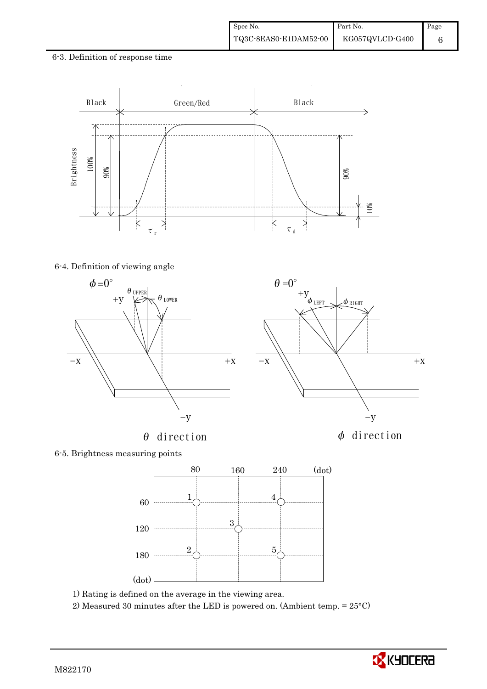### 6-3. Definition of response time



#### 6-4. Definition of viewing angle











1) Rating is defined on the average in the viewing area.

2) Measured 30 minutes after the LED is powered on. (Ambient temp. = 25°C)

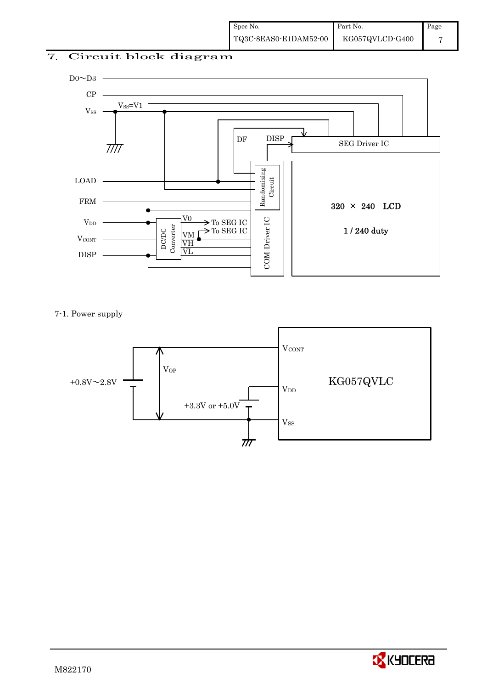## 7. Circuit block diagram



7-1. Power supply



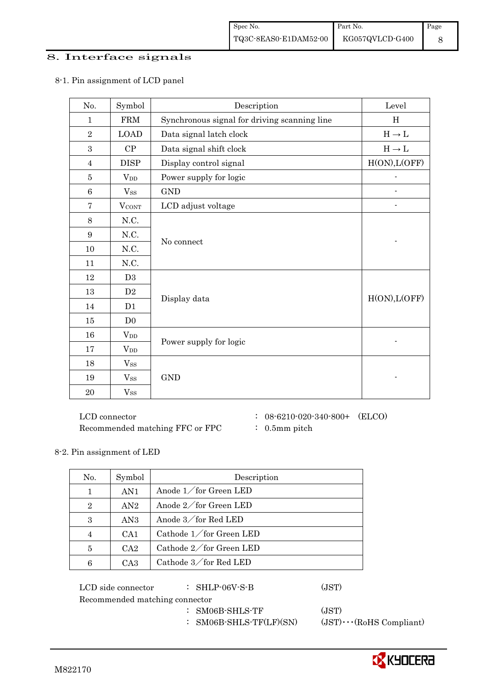### 8. Interface signals

| No.            | Symbol         | Description                                  | Level         |
|----------------|----------------|----------------------------------------------|---------------|
| $\mathbf{1}$   | <b>FRM</b>     | Synchronous signal for driving scanning line | H             |
| $\sqrt{2}$     | <b>LOAD</b>    | Data signal latch clock                      | $H\to L$      |
| 3              | CP             | Data signal shift clock                      | $H\to L$      |
| $\overline{4}$ | <b>DISP</b>    | Display control signal                       | H(ON), L(OFF) |
| $\bf 5$        | $V_{DD}$       | Power supply for logic                       |               |
| $\,6$          | $V_{SS}$       | <b>GND</b>                                   |               |
| $\overline{7}$ | <b>VCONT</b>   | LCD adjust voltage                           |               |
| 8              | N.C.           |                                              |               |
| 9              | N.C.           | No connect                                   |               |
| 10             | N.C.           |                                              |               |
| 11             | N.C.           |                                              |               |
| 12             | D <sub>3</sub> |                                              |               |
| 13             | D <sub>2</sub> |                                              | H(ON), L(OFF) |
| 14             | D1             | Display data                                 |               |
| 15             | D <sub>0</sub> |                                              |               |
| 16             | $V_{DD}$       |                                              |               |
| 17             | $V_{DD}$       | Power supply for logic                       |               |
| 18             | $V_{SS}$       |                                              |               |
| 19             | $V_{SS}$       | $\mathop{\rm GND}$                           |               |
| 20             | $V_{SS}$       |                                              |               |

### 8-1. Pin assignment of LCD panel

 $\rm LCD~connector ~~:~~08\text{-}6210\text{-}020\text{-}340\text{-}800+~~(ELCO)$ Recommended matching FFC or FPC : 0.5mm pitch

- 
- 

### 8-2. Pin assignment of LED

| No.            | Symbol          | Description             |
|----------------|-----------------|-------------------------|
| $\mathbf{1}$   | AN1             | Anode $1$ for Green LED |
| $\overline{2}$ | AN2             | Anode 2/for Green LED   |
| 3              | AN3             | Anode 3/for Red LED     |
| $\overline{4}$ | CA1             | Cathode 1/for Green LED |
| 5              | CA2             | Cathode 2/for Green LED |
| 6              | CA <sub>3</sub> | Cathode 3/for Red LED   |

| LCD side connector             | $:$ SHLP-06V-S-B        | (JST)                          |
|--------------------------------|-------------------------|--------------------------------|
| Recommended matching connector |                         |                                |
|                                | $:$ SM06B-SHLS-TF       | (JST)                          |
|                                | : SM06B-SHLS-TF(LF)(SN) | $(JST)\cdots$ (RoHS Compliant) |

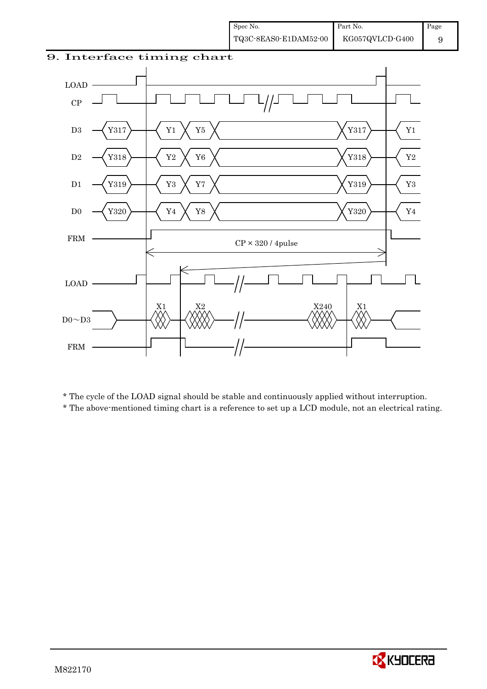

\* The cycle of the LOAD signal should be stable and continuously applied without interruption.

\* The above-mentioned timing chart is a reference to set up a LCD module, not an electrical rating.

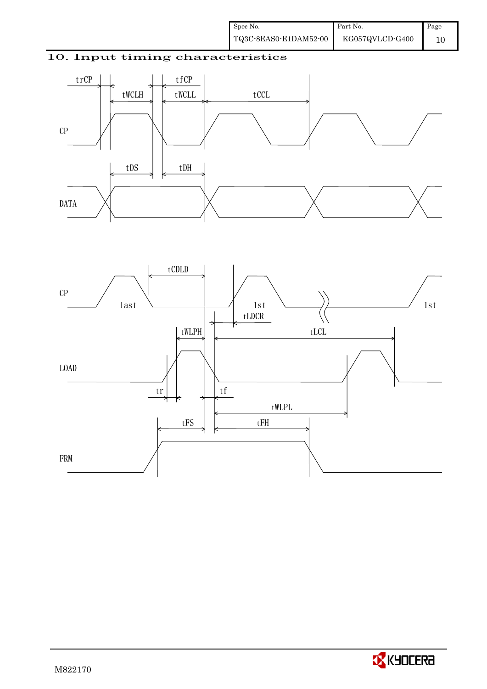## 10. Input timing characteristics





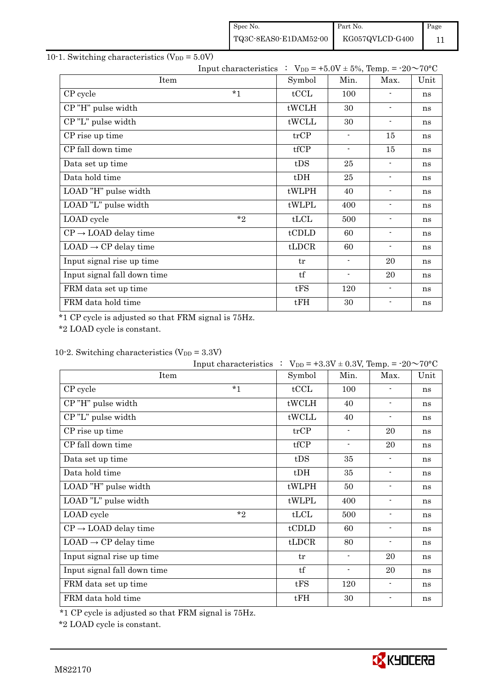| Spec No.              | Part No.        | Page |
|-----------------------|-----------------|------|
| TQ3C-8EAS0-E1DAM52-00 | KG057QVLCD-G400 |      |

## 10-1. Switching characteristics  $(V_{DD} = 5.0V)$

|                                  | Input characteristics : $V_{DD} = +5.0V \pm 5\%$ , Temp. = -20~70°C |                          |                          |      |
|----------------------------------|---------------------------------------------------------------------|--------------------------|--------------------------|------|
| Item                             | Symbol                                                              | Min.                     | Max.                     | Unit |
| $*_{1}$<br>CP cycle              | tCCL                                                                | 100                      | $\overline{\phantom{0}}$ | ns   |
| CP"H" pulse width                | tWCLH                                                               | 30                       | $\blacksquare$           | ns   |
| CP"L" pulse width                | tWCLL                                                               | 30                       | $\overline{\phantom{a}}$ | ns   |
| CP rise up time                  | trCP                                                                | $\overline{\phantom{a}}$ | 15                       | ns   |
| CP fall down time                | tfCP                                                                | $\blacksquare$           | 15                       | ns   |
| Data set up time                 | tDS                                                                 | 25                       | $\overline{\phantom{a}}$ | ns   |
| Data hold time                   | $t$ DH                                                              | 25                       | $\blacksquare$           | ns   |
| LOAD "H" pulse width             | tWLPH                                                               | 40                       | $\overline{\phantom{a}}$ | ns   |
| LOAD "L" pulse width             | tWLPL                                                               | 400                      | $\overline{\phantom{a}}$ | ns   |
| LOAD cycle                       | $*_{2}$<br>tLCL                                                     | 500                      | $\overline{\phantom{0}}$ | ns   |
| $CP \rightarrow$ LOAD delay time | tCDLD                                                               | 60                       | $\overline{\phantom{a}}$ | ns   |
| $LOAD \rightarrow CP$ delay time | tLDCR                                                               | 60                       | $\overline{\phantom{a}}$ | ns   |
| Input signal rise up time        | tr                                                                  | $\blacksquare$           | 20                       | ns   |
| Input signal fall down time      | tf                                                                  | $\overline{\phantom{a}}$ | 20                       | ns   |
| FRM data set up time             | tFS                                                                 | 120                      | $\blacksquare$           | ns   |
| FRM data hold time               | tFH                                                                 | 30                       | $\blacksquare$           | ns   |

\*1 CP cycle is adjusted so that FRM signal is 75Hz.

\*2 LOAD cycle is constant.

## 10-2. Switching characteristics  $(V_{DD} = 3.3V)$

|                                  | Input characteristics : $V_{DD} = +3.3V \pm 0.3V$ , Temp. = -20~70°C |        |                          |                          |      |
|----------------------------------|----------------------------------------------------------------------|--------|--------------------------|--------------------------|------|
| Item                             |                                                                      | Symbol | Min.                     | Max.                     | Unit |
| CP cycle                         | $*_{1}$                                                              | tCCL   | 100                      |                          | ns   |
| CP"H" pulse width                |                                                                      | tWCLH  | 40                       | $\blacksquare$           | ns   |
| CP"L" pulse width                |                                                                      | tWCLL  | 40                       | $\overline{\phantom{a}}$ | ns   |
| CP rise up time                  |                                                                      | trCP   | $\overline{\phantom{a}}$ | 20                       | ns   |
| CP fall down time                |                                                                      | tfCP   | $\blacksquare$           | 20                       | ns   |
| Data set up time                 |                                                                      | tDS    | 35                       | $\overline{\phantom{a}}$ | ns   |
| Data hold time                   |                                                                      | $t$ DH | 35                       | $\overline{\phantom{a}}$ | ns   |
| LOAD "H" pulse width             |                                                                      | tWLPH  | 50                       | $\overline{\phantom{a}}$ | ns   |
| LOAD "L" pulse width             |                                                                      | tWLPL  | 400                      | $\overline{\phantom{a}}$ | ns   |
| LOAD cycle                       | $*_{2}$                                                              | tLCL   | 500                      | $\blacksquare$           | ns   |
| $CP \rightarrow$ LOAD delay time |                                                                      | tCDLD  | 60                       | $\overline{\phantom{a}}$ | ns   |
| $LOAD \rightarrow CP$ delay time |                                                                      | tLDCR  | 80                       | $\blacksquare$           | ns   |
| Input signal rise up time        |                                                                      | tr     | $\blacksquare$           | 20                       | ns   |
| Input signal fall down time      |                                                                      | tf     | $\overline{\phantom{0}}$ | 20                       | ns   |
| FRM data set up time             |                                                                      | tFS    | 120                      | $\overline{\phantom{a}}$ | ns   |
| FRM data hold time               |                                                                      | tFH    | 30                       | $\overline{\phantom{a}}$ | ns   |

\*1 CP cycle is adjusted so that FRM signal is 75Hz.

\*2 LOAD cycle is constant.

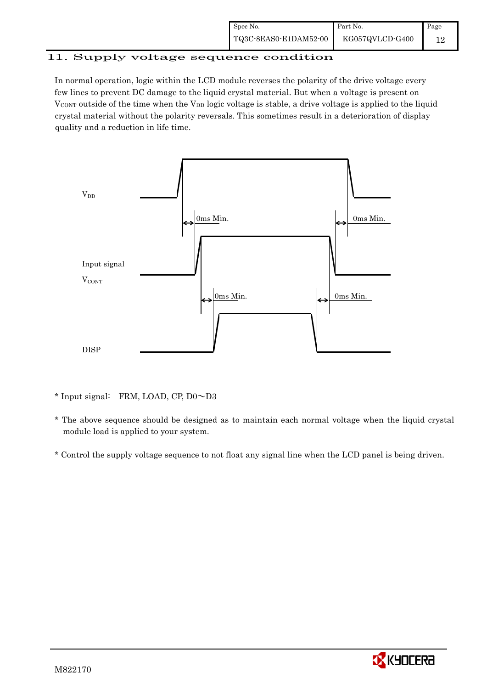| Spec No.              | Part No.        | Page |
|-----------------------|-----------------|------|
| TQ3C-8EAS0-E1DAM52-00 | KG057QVLCD-G400 |      |

# 11. Supply voltage sequence condition

In normal operation, logic within the LCD module reverses the polarity of the drive voltage every few lines to prevent DC damage to the liquid crystal material. But when a voltage is present on  $V_{\text{CONT}}$  outside of the time when the  $V_{\text{DD}}$  logic voltage is stable, a drive voltage is applied to the liquid crystal material without the polarity reversals. This sometimes result in a deterioration of display quality and a reduction in life time.



\* Input signal: FRM, LOAD, CP, D0~D3

 \* The above sequence should be designed as to maintain each normal voltage when the liquid crystal module load is applied to your system.

\* Control the supply voltage sequence to not float any signal line when the LCD panel is being driven.

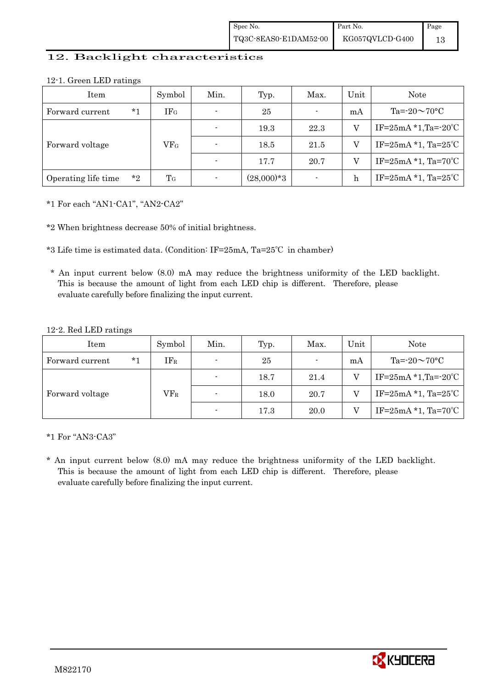### 12. Backlight characteristics

| 12-1. Green LED ratings |  |  |
|-------------------------|--|--|
|-------------------------|--|--|

| Item                |         | Symbol          | Min. | Typ.         | Max. | Unit         | Note                       |
|---------------------|---------|-----------------|------|--------------|------|--------------|----------------------------|
| Forward current     | $*_{1}$ | IF <sub>G</sub> |      | 25           |      | mA           | Ta= $-20 \sim 70$ °C       |
|                     |         |                 |      | 19.3         | 22.3 |              | IF= $25mA * 1, Ta = -20°C$ |
| Forward voltage     |         | VFG             |      | 18.5         | 21.5 |              | IF= $25mA *1$ , Ta= $25°C$ |
|                     |         |                 |      | 17.7         | 20.7 | V            | IF= $25mA *1$ , Ta= $70°C$ |
| Operating life time | $*_{2}$ | T <sub>G</sub>  |      | $(28,000)*3$ |      | $\mathbf{h}$ | IF= $25mA *1$ , Ta= $25°C$ |

\*1 For each "AN1-CA1", "AN2-CA2"

\*2 When brightness decrease 50% of initial brightness.

\*3 Life time is estimated data. (Condition: IF=25mA, Ta=25℃ in chamber)

 \* An input current below (8.0) mA may reduce the brightness uniformity of the LED backlight. This is because the amount of light from each LED chip is different. Therefore, please evaluate carefully before finalizing the input current.

#### 12-2. Red LED ratings

| Item            |      | Symbol | Min.                     | Typ. | Max.           | Unit | <b>Note</b>                         |
|-----------------|------|--------|--------------------------|------|----------------|------|-------------------------------------|
| Forward current | $*1$ | $IF_R$ | $\overline{\phantom{a}}$ | 25   | $\blacksquare$ | mA   | Ta= $-20 \sim 70$ °C                |
|                 |      |        |                          | 18.7 | 21.4           |      | IF= $25mA * 1, Ta = -20°C$          |
| Forward voltage |      | $VF_R$ |                          | 18.0 | 20.7           |      | IF=25mA $*1$ , Ta=25 <sup>°</sup> C |
|                 |      |        | $\overline{\phantom{0}}$ | 17.3 | 20.0           |      | IF= $25mA *1$ , Ta= $70°C$          |

\*1 For "AN3-CA3"

\* An input current below (8.0) mA may reduce the brightness uniformity of the LED backlight. This is because the amount of light from each LED chip is different. Therefore, please evaluate carefully before finalizing the input current.

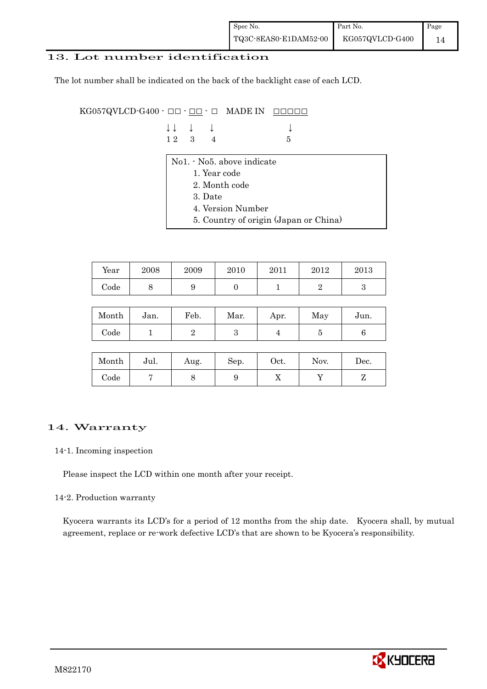### 13. Lot number identification

The lot number shall be indicated on the back of the backlight case of each LCD.

KG057QVLCD-G400 -  $\Box$  $\Box$   $\Box$   $\Box$   $\Box$  MADE IN  $\Box$  $\Box$  $\Box$  $\Box$  $\Box$ 

| $\downarrow \downarrow \quad \downarrow \quad \downarrow$ |  | $\downarrow$ |
|-----------------------------------------------------------|--|--------------|
| 12 3 4                                                    |  | $-5$         |

- No1. No5. above indicate
	- 1. Year code
	- 2. Month code
	- 3. Date
	- 4. Version Number
	- 5. Country of origin (Japan or China)

| Year | 2008 | 2009 | 2010 | 2011 | 2012 | 2013 |
|------|------|------|------|------|------|------|
| Code | ັ    |      |      |      |      |      |

| Month | Jan. | Feb. | Mar. | Apr. | May | Jun. |
|-------|------|------|------|------|-----|------|
| Code  |      |      | ౿    |      |     |      |

| Month      | Jul. | Aug. | Sep. | $_{\rm Oct.}$ | Nov. | Dec. |
|------------|------|------|------|---------------|------|------|
| $\rm Code$ |      |      |      | ∡⊾            |      |      |

### 14. Warranty

#### 14-1. Incoming inspection

Please inspect the LCD within one month after your receipt.

#### 14-2. Production warranty

 Kyocera warrants its LCD's for a period of 12 months from the ship date. Kyocera shall, by mutual agreement, replace or re-work defective LCD's that are shown to be Kyocera's responsibility.

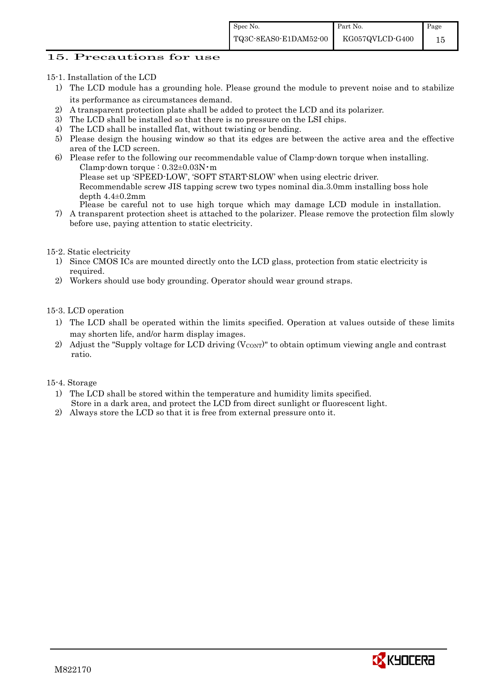### 15. Precautions for use

15-1. Installation of the LCD

- 1) The LCD module has a grounding hole. Please ground the module to prevent noise and to stabilize its performance as circumstances demand.
- 2) A transparent protection plate shall be added to protect the LCD and its polarizer.
- 3) The LCD shall be installed so that there is no pressure on the LSI chips.
- 4) The LCD shall be installed flat, without twisting or bending.
- 5) Please design the housing window so that its edges are between the active area and the effective area of the LCD screen.
- 6) Please refer to the following our recommendable value of Clamp-down torque when installing. Clamp-down torque :  $0.32\pm0.03$ N·m

Please set up 'SPEED-LOW', 'SOFT START-SLOW' when using electric driver.

Recommendable screw JIS tapping screw two types nominal dia.3.0mm installing boss hole depth  $4.4\pm0.2$ mm

Please be careful not to use high torque which may damage LCD module in installation.

7) A transparent protection sheet is attached to the polarizer. Please remove the protection film slowly before use, paying attention to static electricity.

15-2. Static electricity

- 1) Since CMOS ICs are mounted directly onto the LCD glass, protection from static electricity is required.
- 2) Workers should use body grounding. Operator should wear ground straps.

15-3. LCD operation

- 1) The LCD shall be operated within the limits specified. Operation at values outside of these limits may shorten life, and/or harm display images.
- 2) Adjust the "Supply voltage for LCD driving  $(V_{\text{CONT}})$ " to obtain optimum viewing angle and contrast ratio.

#### 15-4. Storage

- 1) The LCD shall be stored within the temperature and humidity limits specified. Store in a dark area, and protect the LCD from direct sunlight or fluorescent light.
- 2) Always store the LCD so that it is free from external pressure onto it.

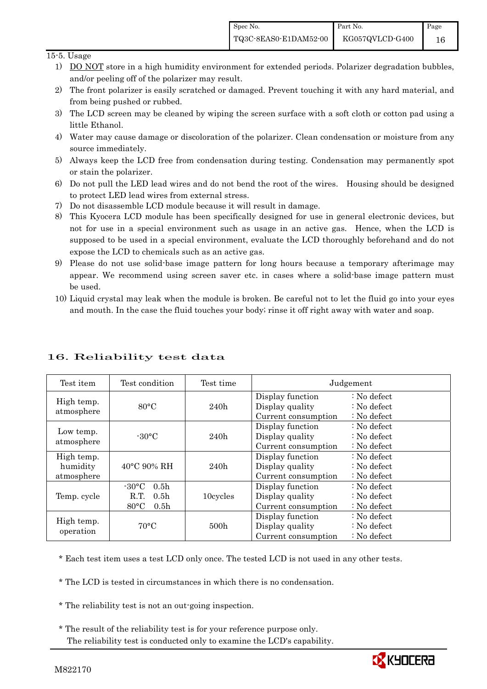### 15-5. Usage

- 1) DO NOT store in a high humidity environment for extended periods. Polarizer degradation bubbles, and/or peeling off of the polarizer may result.
- 2) The front polarizer is easily scratched or damaged. Prevent touching it with any hard material, and from being pushed or rubbed.
- 3) The LCD screen may be cleaned by wiping the screen surface with a soft cloth or cotton pad using a little Ethanol.
- 4) Water may cause damage or discoloration of the polarizer. Clean condensation or moisture from any source immediately.
- 5) Always keep the LCD free from condensation during testing. Condensation may permanently spot or stain the polarizer.
- 6) Do not pull the LED lead wires and do not bend the root of the wires. Housing should be designed to protect LED lead wires from external stress.
- 7) Do not disassemble LCD module because it will result in damage.
- 8) This Kyocera LCD module has been specifically designed for use in general electronic devices, but not for use in a special environment such as usage in an active gas. Hence, when the LCD is supposed to be used in a special environment, evaluate the LCD thoroughly beforehand and do not expose the LCD to chemicals such as an active gas.
- 9) Please do not use solid-base image pattern for long hours because a temporary afterimage may appear. We recommend using screen saver etc. in cases where a solid-base image pattern must be used.
- 10) Liquid crystal may leak when the module is broken. Be careful not to let the fluid go into your eyes and mouth. In the case the fluid touches your body; rinse it off right away with water and soap.

| Test item                            | Test condition                                                                                        | Test time | Judgement                                                  |                                                                            |  |
|--------------------------------------|-------------------------------------------------------------------------------------------------------|-----------|------------------------------------------------------------|----------------------------------------------------------------------------|--|
| High temp.<br>atmosphere             | $80^{\circ}$ C                                                                                        | 240h      | Display function<br>Display quality<br>Current consumption | $\therefore$ No defect<br>: No defect<br>$\therefore$ No defect            |  |
| Low temp.<br>atmosphere              | $-30^{\circ}$ C                                                                                       | 240h      | Display function<br>Display quality<br>Current consumption | : No defect<br>$\therefore$ No defect<br>$\therefore$ No defect            |  |
| High temp.<br>humidity<br>atmosphere | 40°C 90% RH                                                                                           | 240h      | Display function<br>Display quality<br>Current consumption | $\therefore$ No defect<br>: No defect<br>$\therefore$ No defect            |  |
| Temp. cycle                          | $-30^{\circ}$ C<br>0.5 <sub>h</sub><br>0.5 <sub>h</sub><br>R.T.<br>$80^{\circ}$ C<br>0.5 <sub>h</sub> | 10cycles  | Display function<br>Display quality<br>Current consumption | $\therefore$ No defect<br>$\therefore$ No defect<br>$\therefore$ No defect |  |
| High temp.<br>operation              | $70^{\circ}$ C                                                                                        | 500h      | Display function<br>Display quality<br>Current consumption | : No defect<br>$\therefore$ No defect<br>$\therefore$ No defect            |  |

## 16. Reliability test data

\* Each test item uses a test LCD only once. The tested LCD is not used in any other tests.

\* The LCD is tested in circumstances in which there is no condensation.

\* The reliability test is not an out-going inspection.

 \* The result of the reliability test is for your reference purpose only. The reliability test is conducted only to examine the LCD's capability.

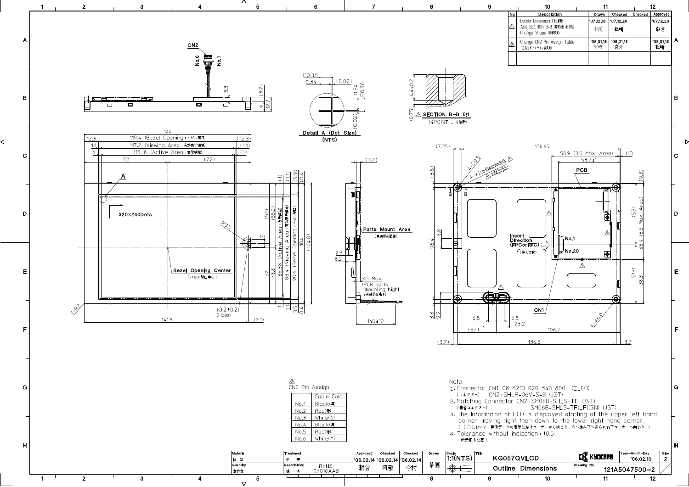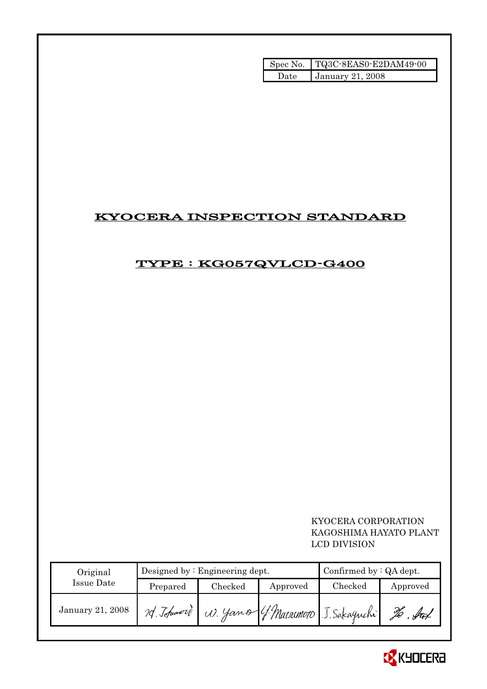|      | Spec No.   TQ3C-8EAS0-E2DAM49-00 |
|------|----------------------------------|
| Hate | <b>January 21, 2008</b>          |

# KYOCERA INSPECTION STANDARD

# TYPE : KG057QVLCD-G400

## KYOCERA CORPORATION KAGOSHIMA HAYATO PLANT LCD DIVISION

| Original         |            | Designed by $:$ Engineering dept. | Confirmed by $:QA$ dept. |                                     |          |
|------------------|------------|-----------------------------------|--------------------------|-------------------------------------|----------|
| Issue Date       | Prepared   | Checked                           | Approved                 | Checked                             | Approved |
| January 21, 2008 | 20 Johnson |                                   |                          | W. Yamo (f. Matrimoto J. Sakaguchi) | . ful    |

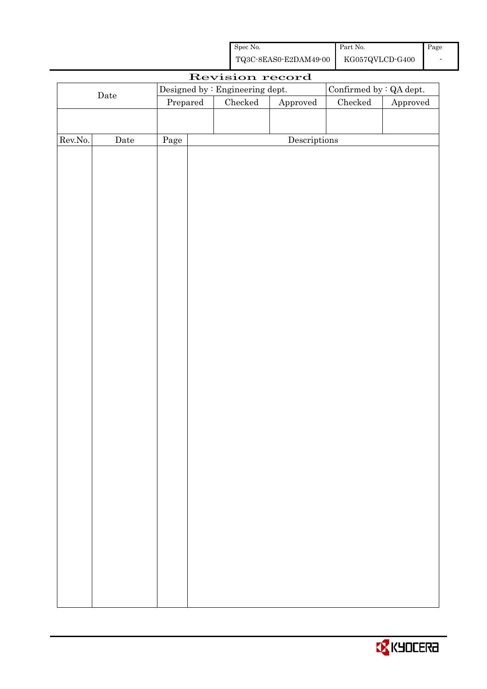| Spec No.              | Part No.        | Page |
|-----------------------|-----------------|------|
| TQ3C-8EAS0-E2DAM49-00 | KG057QVLCD-G400 |      |

|         |             |      |                     | Revision record                 |                        |                         |          |
|---------|-------------|------|---------------------|---------------------------------|------------------------|-------------------------|----------|
|         |             |      |                     | Designed by : Engineering dept. |                        | Confirmed by : QA dept. |          |
|         | $\rm{Date}$ |      | Checked<br>Prepared |                                 | ${\Large\bf Approved}$ | $\rm Checked$           | Approved |
|         |             |      |                     |                                 |                        |                         |          |
|         |             |      |                     |                                 |                        |                         |          |
| Rev.No. | $\rm{Date}$ | Page |                     |                                 | Descriptions           |                         |          |
|         |             |      |                     |                                 |                        |                         |          |
|         |             |      |                     |                                 |                        |                         |          |
|         |             |      |                     |                                 |                        |                         |          |
|         |             |      |                     |                                 |                        |                         |          |
|         |             |      |                     |                                 |                        |                         |          |
|         |             |      |                     |                                 |                        |                         |          |
|         |             |      |                     |                                 |                        |                         |          |
|         |             |      |                     |                                 |                        |                         |          |
|         |             |      |                     |                                 |                        |                         |          |
|         |             |      |                     |                                 |                        |                         |          |
|         |             |      |                     |                                 |                        |                         |          |
|         |             |      |                     |                                 |                        |                         |          |
|         |             |      |                     |                                 |                        |                         |          |
|         |             |      |                     |                                 |                        |                         |          |
|         |             |      |                     |                                 |                        |                         |          |
|         |             |      |                     |                                 |                        |                         |          |
|         |             |      |                     |                                 |                        |                         |          |
|         |             |      |                     |                                 |                        |                         |          |
|         |             |      |                     |                                 |                        |                         |          |
|         |             |      |                     |                                 |                        |                         |          |
|         |             |      |                     |                                 |                        |                         |          |
|         |             |      |                     |                                 |                        |                         |          |
|         |             |      |                     |                                 |                        |                         |          |
|         |             |      |                     |                                 |                        |                         |          |
|         |             |      |                     |                                 |                        |                         |          |
|         |             |      |                     |                                 |                        |                         |          |
|         |             |      |                     |                                 |                        |                         |          |
|         |             |      |                     |                                 |                        |                         |          |
|         |             |      |                     |                                 |                        |                         |          |
|         |             |      |                     |                                 |                        |                         |          |
|         |             |      |                     |                                 |                        |                         |          |
|         |             |      |                     |                                 |                        |                         |          |
|         |             |      |                     |                                 |                        |                         |          |
|         |             |      |                     |                                 |                        |                         |          |
|         |             |      |                     |                                 |                        |                         |          |
|         |             |      |                     |                                 |                        |                         |          |

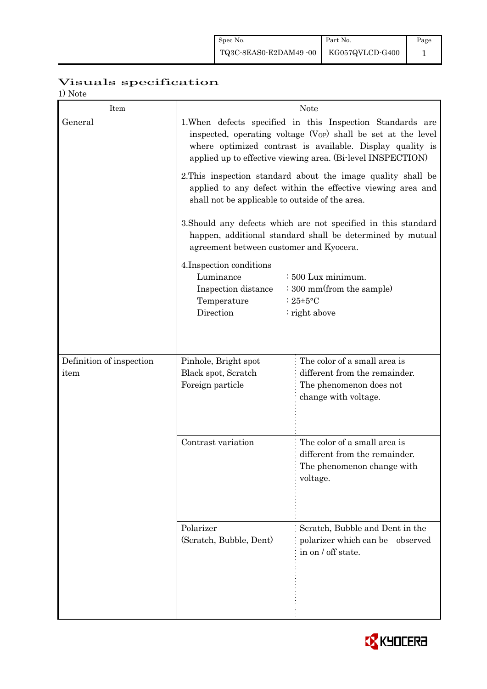# Visuals specification

1) Note

| 17 1 V U U U<br>Item     | <b>Note</b>                                                                                                                                                                                                                                                 |                                                                                                         |  |  |  |  |
|--------------------------|-------------------------------------------------------------------------------------------------------------------------------------------------------------------------------------------------------------------------------------------------------------|---------------------------------------------------------------------------------------------------------|--|--|--|--|
| General                  | 1. When defects specified in this Inspection Standards are<br>inspected, operating voltage $(V_{OP})$ shall be set at the level<br>where optimized contrast is available. Display quality is<br>applied up to effective viewing area. (Bi-level INSPECTION) |                                                                                                         |  |  |  |  |
|                          | 2. This inspection standard about the image quality shall be<br>applied to any defect within the effective viewing area and<br>shall not be applicable to outside of the area.                                                                              |                                                                                                         |  |  |  |  |
|                          | 3. Should any defects which are not specified in this standard<br>happen, additional standard shall be determined by mutual<br>agreement between customer and Kyocera.                                                                                      |                                                                                                         |  |  |  |  |
|                          | 4. Inspection conditions<br>Luminance<br>$\div 500$ Lux minimum.<br>: 300 mm(from the sample)<br>Inspection distance<br>Temperature<br>: $25 \pm 5$ °C<br>Direction<br>: right above                                                                        |                                                                                                         |  |  |  |  |
| Definition of inspection | Pinhole, Bright spot                                                                                                                                                                                                                                        | The color of a small area is                                                                            |  |  |  |  |
| item                     | Black spot, Scratch<br>Foreign particle                                                                                                                                                                                                                     | different from the remainder.<br>The phenomenon does not<br>change with voltage.                        |  |  |  |  |
|                          | Contrast variation                                                                                                                                                                                                                                          | The color of a small area is<br>different from the remainder.<br>The phenomenon change with<br>voltage. |  |  |  |  |
|                          | Polarizer<br>(Scratch, Bubble, Dent)                                                                                                                                                                                                                        | Scratch, Bubble and Dent in the<br>polarizer which can be observed<br>in on / off state.                |  |  |  |  |

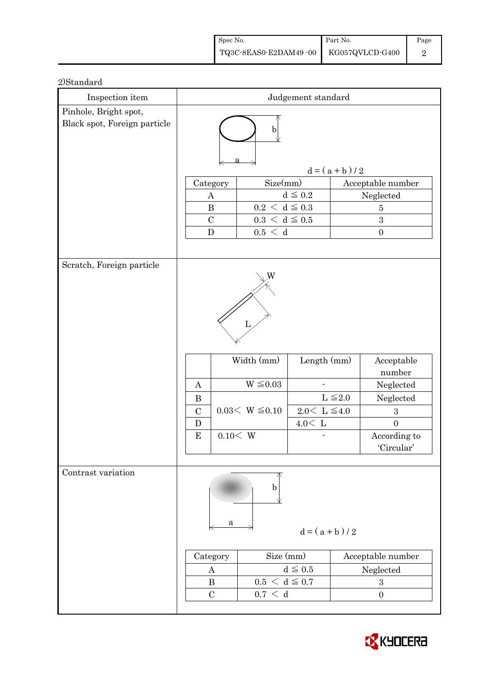| Spec No.              | Part No.        | Page |
|-----------------------|-----------------|------|
| TQ3C-8EAS0-E2DAM49-00 | KG057QVLCD-G400 |      |

| Inspection item                                       | Judgement standard         |                                             |                        |                                      |                            |  |
|-------------------------------------------------------|----------------------------|---------------------------------------------|------------------------|--------------------------------------|----------------------------|--|
| Pinhole, Bright spot,<br>Black spot, Foreign particle | $\mathbf b$                |                                             |                        |                                      |                            |  |
|                                                       |                            |                                             |                        | $d = (a + b) / 2$                    |                            |  |
|                                                       | Category                   | Size(mm)                                    |                        |                                      | Acceptable number          |  |
|                                                       | $\boldsymbol{A}$           |                                             | $d\leqq0.2$            |                                      | Neglected                  |  |
|                                                       | $\, {\bf B}$               | $0.2\,<\,\mathrm{d}\leq0.3$                 |                        |                                      | $\bf 5$                    |  |
|                                                       | $\mathcal{C}$<br>${\bf D}$ | $0.3\,<\,\mathrm{d}\leq0.5$<br>$0.5\,<\,$ d |                        |                                      | 3<br>$\boldsymbol{0}$      |  |
|                                                       |                            |                                             |                        |                                      |                            |  |
| Scratch, Foreign particle                             |                            |                                             |                        |                                      |                            |  |
|                                                       |                            |                                             |                        |                                      |                            |  |
|                                                       |                            | Width (mm)                                  | Length $(mm)$          |                                      | Acceptable<br>number       |  |
|                                                       | $\boldsymbol{A}$           | $W \leq 0.03$                               |                        |                                      | Neglected                  |  |
|                                                       | $\bf{B}$                   |                                             |                        | $L \leq 2.0$                         | Neglected                  |  |
|                                                       | $\mathcal{C}$              | $0.03< W \leq 0.10$                         | $2.0<\,$ L $\leq\!4.0$ |                                      | $\boldsymbol{3}$           |  |
|                                                       | D                          |                                             | $4.0<\,$ L             |                                      | $\overline{0}$             |  |
|                                                       | 0.10 < W<br>$\bf{E}$       |                                             |                        |                                      | According to<br>'Circular' |  |
|                                                       |                            |                                             |                        |                                      |                            |  |
| Contrast variation                                    | a                          | b                                           | $d = (a + b)/2$        |                                      |                            |  |
|                                                       |                            |                                             |                        |                                      |                            |  |
|                                                       | Category                   | Size (mm)                                   |                        | Acceptable number                    |                            |  |
|                                                       | A<br>$\bf{B}$              |                                             | $d \leqq 0.5$          | Neglected                            |                            |  |
|                                                       | $\mathcal{C}$              | $0.5 < d \leq 0.7$<br>$0.7\,<\,$ d          |                        | $\boldsymbol{3}$<br>$\boldsymbol{0}$ |                            |  |
|                                                       |                            |                                             |                        |                                      |                            |  |